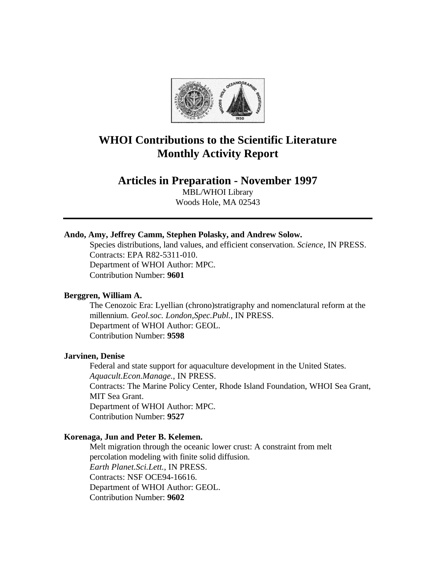

# **WHOI Contributions to the Scientific Literature Monthly Activity Report**

## **Articles in Preparation - November 1997**

MBL/WHOI Library Woods Hole, MA 02543

## **Ando, Amy, Jeffrey Camm, Stephen Polasky, and Andrew Solow.**

Species distributions, land values, and efficient conservation. *Science*, IN PRESS. Contracts: EPA R82-5311-010. Department of WHOI Author: MPC. Contribution Number: **9601**

## **Berggren, William A.**

The Cenozoic Era: Lyellian (chrono)stratigraphy and nomenclatural reform at the millennium. *Geol.soc. London,Spec.Publ.*, IN PRESS. Department of WHOI Author: GEOL. Contribution Number: **9598**

#### **Jarvinen, Denise**

Federal and state support for aquaculture development in the United States. *Aquacult.Econ.Manage.*, IN PRESS. Contracts: The Marine Policy Center, Rhode Island Foundation, WHOI Sea Grant, MIT Sea Grant. Department of WHOI Author: MPC. Contribution Number: **9527**

#### **Korenaga, Jun and Peter B. Kelemen.**

Melt migration through the oceanic lower crust: A constraint from melt percolation modeling with finite solid diffusion. *Earth Planet.Sci.Lett.*, IN PRESS. Contracts: NSF OCE94-16616. Department of WHOI Author: GEOL. Contribution Number: **9602**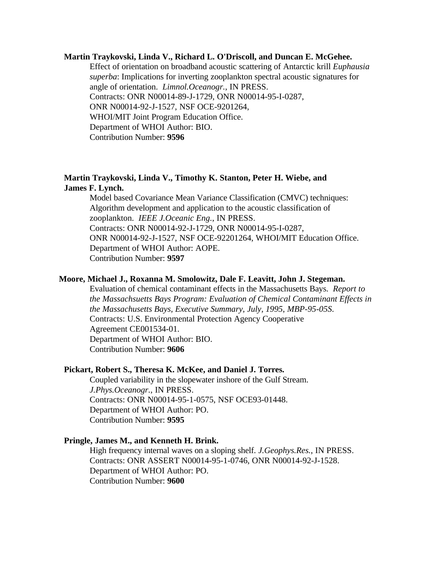#### **Martin Traykovski, Linda V., Richard L. O'Driscoll, and Duncan E. McGehee.**

Effect of orientation on broadband acoustic scattering of Antarctic krill *Euphausia superba*: Implications for inverting zooplankton spectral acoustic signatures for angle of orientation. *Limnol.Oceanogr.*, IN PRESS. Contracts: ONR N00014-89-J-1729, ONR N00014-95-I-0287, ONR N00014-92-J-1527, NSF OCE-9201264, WHOI/MIT Joint Program Education Office. Department of WHOI Author: BIO. Contribution Number: **9596**

## **Martin Traykovski, Linda V., Timothy K. Stanton, Peter H. Wiebe, and James F. Lynch.**

Model based Covariance Mean Variance Classification (CMVC) techniques: Algorithm development and application to the acoustic classification of zooplankton. *IEEE J.Oceanic Eng.*, IN PRESS. Contracts: ONR N00014-92-J-1729, ONR N00014-95-I-0287, ONR N00014-92-J-1527, NSF OCE-92201264, WHOI/MIT Education Office. Department of WHOI Author: AOPE. Contribution Number: **9597**

#### **Moore, Michael J., Roxanna M. Smolowitz, Dale F. Leavitt, John J. Stegeman.**

Evaluation of chemical contaminant effects in the Massachusetts Bays. *Report to the Massachsuetts Bays Program: Evaluation of Chemical Contaminant Effects in the Massachusetts Bays, Executive Summary, July, 1995*, *MBP-95-05S*. Contracts: U.S. Environmental Protection Agency Cooperative Agreement CE001534-01. Department of WHOI Author: BIO. Contribution Number: **9606**

#### **Pickart, Robert S., Theresa K. McKee, and Daniel J. Torres.**

Coupled variability in the slopewater inshore of the Gulf Stream. *J.Phys.Oceanogr.*, IN PRESS. Contracts: ONR N00014-95-1-0575, NSF OCE93-01448. Department of WHOI Author: PO. Contribution Number: **9595**

## **Pringle, James M., and Kenneth H. Brink.**

High frequency internal waves on a sloping shelf. *J.Geophys.Res.*, IN PRESS. Contracts: ONR ASSERT N00014-95-1-0746, ONR N00014-92-J-1528. Department of WHOI Author: PO. Contribution Number: **9600**